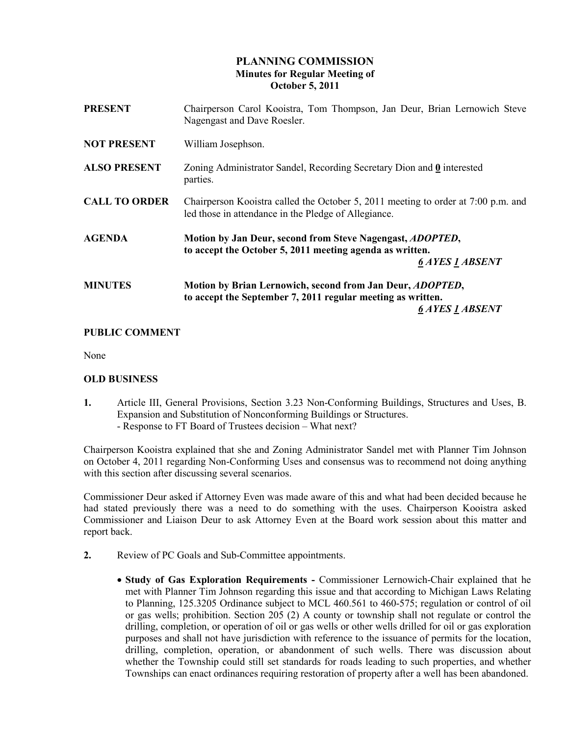# PLANNING COMMISSION Minutes for Regular Meeting of October 5, 2011

| <b>PRESENT</b>       | Chairperson Carol Kooistra, Tom Thompson, Jan Deur, Brian Lernowich Steve<br>Nagengast and Dave Roesler.                                                   |
|----------------------|------------------------------------------------------------------------------------------------------------------------------------------------------------|
| <b>NOT PRESENT</b>   | William Josephson.                                                                                                                                         |
| <b>ALSO PRESENT</b>  | Zoning Administrator Sandel, Recording Secretary Dion and $\mathbf{0}$ interested<br>parties.                                                              |
| <b>CALL TO ORDER</b> | Chairperson Kooistra called the October 5, 2011 meeting to order at 7:00 p.m. and<br>led those in attendance in the Pledge of Allegiance.                  |
| <b>AGENDA</b>        | Motion by Jan Deur, second from Steve Nagengast, ADOPTED,<br>to accept the October 5, 2011 meeting agenda as written.<br><b>6 AYES 1 ABSENT</b>            |
| <b>MINUTES</b>       | Motion by Brian Lernowich, second from Jan Deur, <i>ADOPTED</i> ,<br>to accept the September 7, 2011 regular meeting as written.<br><b>6 AYES 1 ABSENT</b> |

# PUBLIC COMMENT

None

### OLD BUSINESS

1. Article III, General Provisions, Section 3.23 Non-Conforming Buildings, Structures and Uses, B. Expansion and Substitution of Nonconforming Buildings or Structures. - Response to FT Board of Trustees decision – What next?

Chairperson Kooistra explained that she and Zoning Administrator Sandel met with Planner Tim Johnson on October 4, 2011 regarding Non-Conforming Uses and consensus was to recommend not doing anything with this section after discussing several scenarios.

Commissioner Deur asked if Attorney Even was made aware of this and what had been decided because he had stated previously there was a need to do something with the uses. Chairperson Kooistra asked Commissioner and Liaison Deur to ask Attorney Even at the Board work session about this matter and report back.

- 2. Review of PC Goals and Sub-Committee appointments.
	- Study of Gas Exploration Requirements Commissioner Lernowich-Chair explained that he met with Planner Tim Johnson regarding this issue and that according to Michigan Laws Relating to Planning, 125.3205 Ordinance subject to MCL 460.561 to 460-575; regulation or control of oil or gas wells; prohibition. Section 205 (2) A county or township shall not regulate or control the drilling, completion, or operation of oil or gas wells or other wells drilled for oil or gas exploration purposes and shall not have jurisdiction with reference to the issuance of permits for the location, drilling, completion, operation, or abandonment of such wells. There was discussion about whether the Township could still set standards for roads leading to such properties, and whether Townships can enact ordinances requiring restoration of property after a well has been abandoned.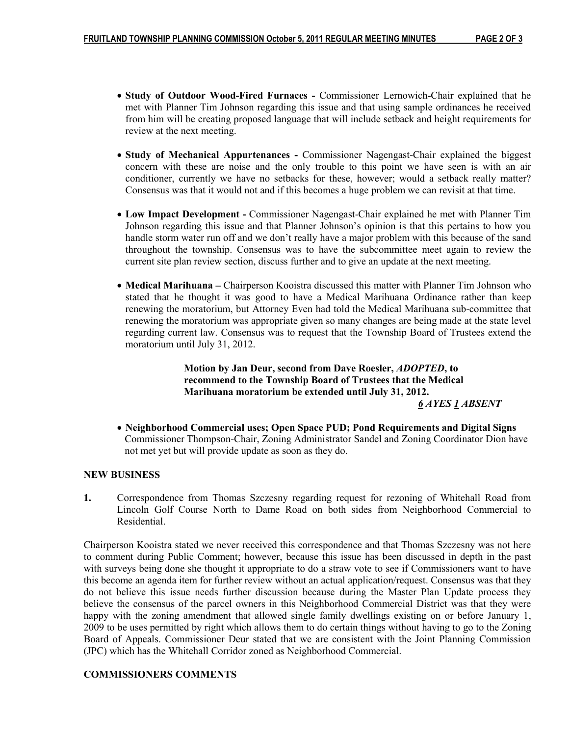- Study of Outdoor Wood-Fired Furnaces Commissioner Lernowich-Chair explained that he met with Planner Tim Johnson regarding this issue and that using sample ordinances he received from him will be creating proposed language that will include setback and height requirements for review at the next meeting.
- Study of Mechanical Appurtenances Commissioner Nagengast-Chair explained the biggest concern with these are noise and the only trouble to this point we have seen is with an air conditioner, currently we have no setbacks for these, however; would a setback really matter? Consensus was that it would not and if this becomes a huge problem we can revisit at that time.
- Low Impact Development Commissioner Nagengast-Chair explained he met with Planner Tim Johnson regarding this issue and that Planner Johnson's opinion is that this pertains to how you handle storm water run off and we don't really have a major problem with this because of the sand throughout the township. Consensus was to have the subcommittee meet again to review the current site plan review section, discuss further and to give an update at the next meeting.
- Medical Marihuana Chairperson Kooistra discussed this matter with Planner Tim Johnson who stated that he thought it was good to have a Medical Marihuana Ordinance rather than keep renewing the moratorium, but Attorney Even had told the Medical Marihuana sub-committee that renewing the moratorium was appropriate given so many changes are being made at the state level regarding current law. Consensus was to request that the Township Board of Trustees extend the moratorium until July 31, 2012.

 Motion by Jan Deur, second from Dave Roesler, ADOPTED, to recommend to the Township Board of Trustees that the Medical Marihuana moratorium be extended until July 31, 2012. 6 AYES 1 ABSENT

• Neighborhood Commercial uses; Open Space PUD; Pond Requirements and Digital Signs Commissioner Thompson-Chair, Zoning Administrator Sandel and Zoning Coordinator Dion have not met yet but will provide update as soon as they do.

### NEW BUSINESS

1. Correspondence from Thomas Szczesny regarding request for rezoning of Whitehall Road from Lincoln Golf Course North to Dame Road on both sides from Neighborhood Commercial to Residential.

Chairperson Kooistra stated we never received this correspondence and that Thomas Szczesny was not here to comment during Public Comment; however, because this issue has been discussed in depth in the past with surveys being done she thought it appropriate to do a straw vote to see if Commissioners want to have this become an agenda item for further review without an actual application/request. Consensus was that they do not believe this issue needs further discussion because during the Master Plan Update process they believe the consensus of the parcel owners in this Neighborhood Commercial District was that they were happy with the zoning amendment that allowed single family dwellings existing on or before January 1, 2009 to be uses permitted by right which allows them to do certain things without having to go to the Zoning Board of Appeals. Commissioner Deur stated that we are consistent with the Joint Planning Commission (JPC) which has the Whitehall Corridor zoned as Neighborhood Commercial.

### COMMISSIONERS COMMENTS